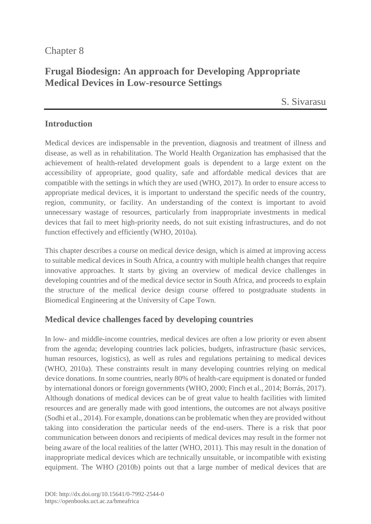# Chapter 8

# **Frugal Biodesign: An approach for Developing Appropriate Medical Devices in Low-resource Settings**

S. [Sivarasu](https://orcid.org/0000-0002-0812-568X)

### **Introduction**

Medical devices are indispensable in the prevention, diagnosis and treatment of illness and disease, as well as in rehabilitation. The World Health Organization has emphasised that the achievement of health-related development goals is dependent to a large extent on the accessibility of appropriate, good quality, safe and affordable medical devices that are compatible with the settings in which they are used (WHO, 2017). In order to ensure access to appropriate medical devices, it is important to understand the specific needs of the country, region, community, or facility. An understanding of the context is important to avoid unnecessary wastage of resources, particularly from inappropriate investments in medical devices that fail to meet high-priority needs, do not suit existing infrastructures, and do not function effectively and efficiently (WHO, 2010a).

This chapter describes a course on medical device design, which is aimed at improving access to suitable medical devices in South Africa, a country with multiple health changes that require innovative approaches. It starts by giving an overview of medical device challenges in developing countries and of the medical device sector in South Africa, and proceeds to explain the structure of the medical device design course offered to postgraduate students in Biomedical Engineering at the University of Cape Town.

# **Medical device challenges faced by developing countries**

In low- and middle-income countries, medical devices are often a low priority or even absent from the agenda; developing countries lack policies, budgets, infrastructure (basic services, human resources, logistics), as well as rules and regulations pertaining to medical devices (WHO, 2010a). These constraints result in many developing countries relying on medical device donations. In some countries, nearly 80% of health-care equipment is donated or funded by international donors or foreign governments (WHO, 2000; Finch et al., 2014; Borrás, 2017). Although donations of medical devices can be of great value to health facilities with limited resources and are generally made with good intentions, the outcomes are not always positive (Sodhi et al., 2014). For example, donations can be problematic when they are provided without taking into consideration the particular needs of the end-users. There is a risk that poor communication between donors and recipients of medical devices may result in the former not being aware of the local realities of the latter (WHO, 2011). This may result in the donation of inappropriate medical devices which are technically unsuitable, or incompatible with existing equipment. The WHO (2010b) points out that a large number of medical devices that are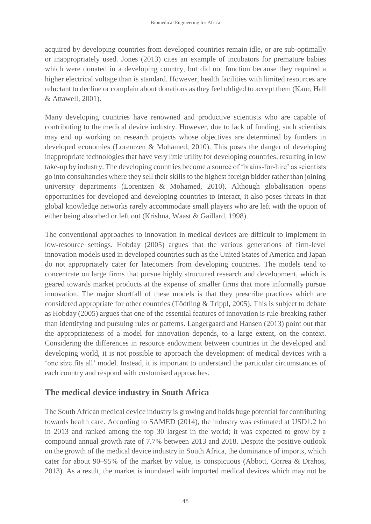acquired by developing countries from developed countries remain idle, or are sub-optimally or inappropriately used. Jones (2013) cites an example of incubators for premature babies which were donated in a developing country, but did not function because they required a higher electrical voltage than is standard. However, health facilities with limited resources are reluctant to decline or complain about donations as they feel obliged to accept them (Kaur, Hall & Attawell, 2001).

Many developing countries have renowned and productive scientists who are capable of contributing to the medical device industry. However, due to lack of funding, such scientists may end up working on research projects whose objectives are determined by funders in developed economies (Lorentzen & Mohamed, 2010). This poses the danger of developing inappropriate technologies that have very little utility for developing countries, resulting in low take-up by industry. The developing countries become a source of 'brains-for-hire' as scientists go into consultancies where they sell their skills to the highest foreign bidder rather than joining university departments (Lorentzen & Mohamed, 2010). Although globalisation opens opportunities for developed and developing countries to interact, it also poses threats in that global knowledge networks rarely accommodate small players who are left with the option of either being absorbed or left out (Krishna, Waast & Gaillard, 1998).

The conventional approaches to innovation in medical devices are difficult to implement in low-resource settings. Hobday (2005) argues that the various generations of firm-level innovation models used in developed countries such as the United States of America and Japan do not appropriately cater for latecomers from developing countries. The models tend to concentrate on large firms that pursue highly structured research and development, which is geared towards market products at the expense of smaller firms that more informally pursue innovation. The major shortfall of these models is that they prescribe practices which are considered appropriate for other countries (Tödtling & Trippl, 2005). This is subject to debate as Hobday (2005) argues that one of the essential features of innovation is rule-breaking rather than identifying and pursuing rules or patterns. Langergaard and Hansen (2013) point out that the appropriateness of a model for innovation depends, to a large extent, on the context. Considering the differences in resource endowment between countries in the developed and developing world, it is not possible to approach the development of medical devices with a 'one size fits all' model. Instead, it is important to understand the particular circumstances of each country and respond with customised approaches.

# **The medical device industry in South Africa**

The South African medical device industry is growing and holds huge potential for contributing towards health care. According to SAMED (2014), the industry was estimated at USD1.2 bn in 2013 and ranked among the top 30 largest in the world; it was expected to grow by a compound annual growth rate of 7.7% between 2013 and 2018. Despite the positive outlook on the growth of the medical device industry in South Africa, the dominance of imports, which cater for about 90–95% of the market by value, is conspicuous (Abbott, Correa & Drahos, 2013). As a result, the market is inundated with imported medical devices which may not be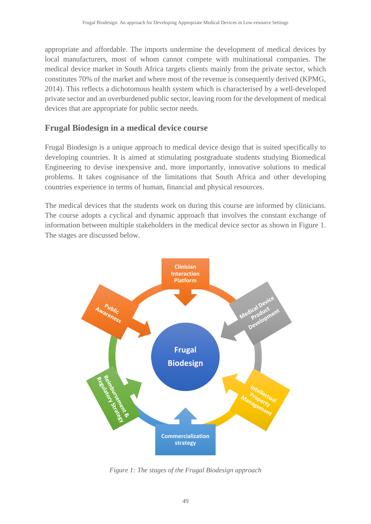appropriate and affordable. The imports undermine the development of medical devices by local manufacturers, most of whom cannot compete with multinational companies. The medical device market in South Africa targets clients mainly from the private sector, which constitutes 70% of the market and where most of the revenue is consequently derived (KPMG, 2014). This reflects a dichotomous health system which is characterised by a well-developed private sector and an overburdened public sector, leaving room for the development of medical devices that are appropriate for public sector needs.

## **Frugal Biodesign in a medical device course**

Frugal Biodesign is a unique approach to medical device design that is suited specifically to developing countries. It is aimed at stimulating postgraduate students studying Biomedical Engineering to devise inexpensive and, more importantly, innovative solutions to medical problems. It takes cognisance of the limitations that South Africa and other developing countries experience in terms of human, financial and physical resources.

The medical devices that the students work on during this course are informed by clinicians. The course adopts a cyclical and dynamic approach that involves the constant exchange of information between multiple stakeholders in the medical device sector as shown in Figure 1. The stages are discussed below.



*Figure 1: The stages of the Frugal Biodesign approach*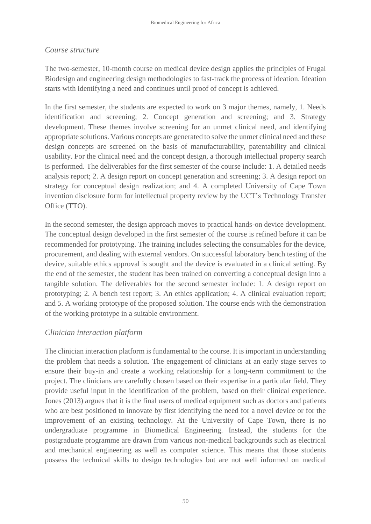### *Course structure*

The two-semester, 10-month course on medical device design applies the principles of Frugal Biodesign and engineering design methodologies to fast-track the process of ideation. Ideation starts with identifying a need and continues until proof of concept is achieved.

In the first semester, the students are expected to work on 3 major themes, namely, 1. Needs identification and screening; 2. Concept generation and screening; and 3. Strategy development. These themes involve screening for an unmet clinical need, and identifying appropriate solutions. Various concepts are generated to solve the unmet clinical need and these design concepts are screened on the basis of manufacturability, patentability and clinical usability. For the clinical need and the concept design, a thorough intellectual property search is performed. The deliverables for the first semester of the course include: 1. A detailed needs analysis report; 2. A design report on concept generation and screening; 3. A design report on strategy for conceptual design realization; and 4. A completed University of Cape Town invention disclosure form for intellectual property review by the UCT's Technology Transfer Office (TTO).

In the second semester, the design approach moves to practical hands-on device development. The conceptual design developed in the first semester of the course is refined before it can be recommended for prototyping. The training includes selecting the consumables for the device, procurement, and dealing with external vendors. On successful laboratory bench testing of the device, suitable ethics approval is sought and the device is evaluated in a clinical setting. By the end of the semester, the student has been trained on converting a conceptual design into a tangible solution. The deliverables for the second semester include: 1. A design report on prototyping; 2. A bench test report; 3. An ethics application; 4. A clinical evaluation report; and 5. A working prototype of the proposed solution. The course ends with the demonstration of the working prototype in a suitable environment.

### *Clinician interaction platform*

The clinician interaction platform is fundamental to the course. It is important in understanding the problem that needs a solution. The engagement of clinicians at an early stage serves to ensure their buy-in and create a working relationship for a long-term commitment to the project. The clinicians are carefully chosen based on their expertise in a particular field. They provide useful input in the identification of the problem, based on their clinical experience. Jones (2013) argues that it is the final users of medical equipment such as doctors and patients who are best positioned to innovate by first identifying the need for a novel device or for the improvement of an existing technology. At the University of Cape Town, there is no undergraduate programme in Biomedical Engineering. Instead, the students for the postgraduate programme are drawn from various non-medical backgrounds such as electrical and mechanical engineering as well as computer science. This means that those students possess the technical skills to design technologies but are not well informed on medical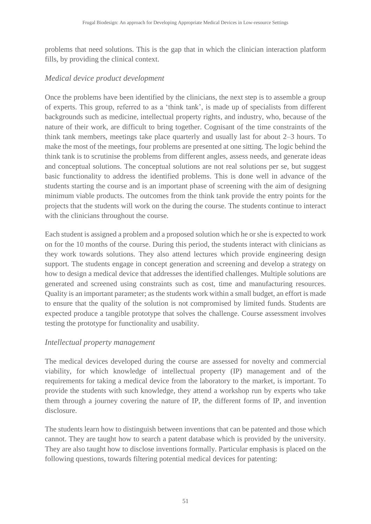problems that need solutions. This is the gap that in which the clinician interaction platform fills, by providing the clinical context.

### *Medical device product development*

Once the problems have been identified by the clinicians, the next step is to assemble a group of experts. This group, referred to as a 'think tank', is made up of specialists from different backgrounds such as medicine, intellectual property rights, and industry, who, because of the nature of their work, are difficult to bring together. Cognisant of the time constraints of the think tank members, meetings take place quarterly and usually last for about 2–3 hours. To make the most of the meetings, four problems are presented at one sitting. The logic behind the think tank is to scrutinise the problems from different angles, assess needs, and generate ideas and conceptual solutions. The conceptual solutions are not real solutions per se, but suggest basic functionality to address the identified problems. This is done well in advance of the students starting the course and is an important phase of screening with the aim of designing minimum viable products. The outcomes from the think tank provide the entry points for the projects that the students will work on the during the course. The students continue to interact with the clinicians throughout the course.

Each student is assigned a problem and a proposed solution which he or she is expected to work on for the 10 months of the course. During this period, the students interact with clinicians as they work towards solutions. They also attend lectures which provide engineering design support. The students engage in concept generation and screening and develop a strategy on how to design a medical device that addresses the identified challenges. Multiple solutions are generated and screened using constraints such as cost, time and manufacturing resources. Quality is an important parameter; as the students work within a small budget, an effort is made to ensure that the quality of the solution is not compromised by limited funds. Students are expected produce a tangible prototype that solves the challenge. Course assessment involves testing the prototype for functionality and usability.

### *Intellectual property management*

The medical devices developed during the course are assessed for novelty and commercial viability, for which knowledge of intellectual property (IP) management and of the requirements for taking a medical device from the laboratory to the market, is important. To provide the students with such knowledge, they attend a workshop run by experts who take them through a journey covering the nature of IP, the different forms of IP, and invention disclosure.

The students learn how to distinguish between inventions that can be patented and those which cannot. They are taught how to search a patent database which is provided by the university. They are also taught how to disclose inventions formally. Particular emphasis is placed on the following questions, towards filtering potential medical devices for patenting: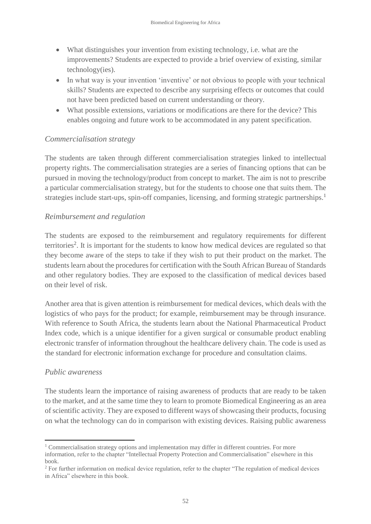- What distinguishes your invention from existing technology, i.e. what are the improvements? Students are expected to provide a brief overview of existing, similar technology(ies).
- In what way is your invention 'inventive' or not obvious to people with your technical skills? Students are expected to describe any surprising effects or outcomes that could not have been predicted based on current understanding or theory.
- What possible extensions, variations or modifications are there for the device? This enables ongoing and future work to be accommodated in any patent specification.

### *Commercialisation strategy*

The students are taken through different commercialisation strategies linked to intellectual property rights. The commercialisation strategies are a series of financing options that can be pursued in moving the technology/product from concept to market. The aim is not to prescribe a particular commercialisation strategy, but for the students to choose one that suits them. The strategies include start-ups, spin-off companies, licensing, and forming strategic partnerships. 1

### *Reimbursement and regulation*

The students are exposed to the reimbursement and regulatory requirements for different territories<sup>2</sup>. It is important for the students to know how medical devices are regulated so that they become aware of the steps to take if they wish to put their product on the market. The students learn about the procedures for certification with the South African Bureau of Standards and other regulatory bodies. They are exposed to the classification of medical devices based on their level of risk.

Another area that is given attention is reimbursement for medical devices, which deals with the logistics of who pays for the product; for example, reimbursement may be through insurance. With reference to South Africa, the students learn about the [National Pharmaceutical Product](https://www.google.co.za/url?sa=t&rct=j&q=&esrc=s&source=web&cd=3&cad=rja&uact=8&ved=0ahUKEwjo2ImF_cLXAhXCzRQKHcQPDz4QFggvMAI&url=https%3A%2F%2Fwww.medikredit.co.za%2Findex.php%3Foption%3Dcom_content%26view%3Darticle%26id%3D21%26Itemid%3D31&usg=AOvVaw1hVWYSknWLFQ2gC3L6AKOm)  [Index](https://www.google.co.za/url?sa=t&rct=j&q=&esrc=s&source=web&cd=3&cad=rja&uact=8&ved=0ahUKEwjo2ImF_cLXAhXCzRQKHcQPDz4QFggvMAI&url=https%3A%2F%2Fwww.medikredit.co.za%2Findex.php%3Foption%3Dcom_content%26view%3Darticle%26id%3D21%26Itemid%3D31&usg=AOvVaw1hVWYSknWLFQ2gC3L6AKOm) code, which is a unique identifier for a given surgical or consumable product enabling electronic transfer of information throughout the healthcare delivery chain. The code is used as the standard for electronic information exchange for procedure and consultation claims.

### *Public awareness*

1

The students learn the importance of raising awareness of products that are ready to be taken to the market, and at the same time they to learn to promote Biomedical Engineering as an area of scientific activity. They are exposed to different ways of showcasing their products, focusing on what the technology can do in comparison with existing devices. Raising public awareness

 $1$  Commercialisation strategy options and implementation may differ in different countries. For more information, refer to the chapter "Intellectual Property Protection and Commercialisation" elsewhere in this book.

<sup>&</sup>lt;sup>2</sup> For further information on medical device regulation, refer to the chapter "The regulation of medical devices" in Africa" elsewhere in this book.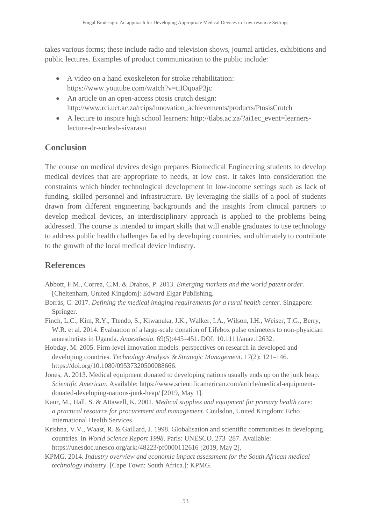takes various forms; these include radio and television shows, journal articles, exhibitions and public lectures. Examples of product communication to the public include:

- A video on a hand exoskeleton for stroke rehabilitation: https://www.youtube.com/watch?v=tiIOqoaP3jc
- An article on an open-access ptosis crutch design: http://www.rci.uct.ac.za/rcips/innovation\_achievements/products/PtosisCrutch
- A lecture to inspire high school learners: http://tlabs.ac.za/?ai1ec\_event=learnerslecture-dr-sudesh-sivarasu

## **Conclusion**

The course on medical devices design prepares Biomedical Engineering students to develop medical devices that are appropriate to needs, at low cost. It takes into consideration the constraints which hinder technological development in low-income settings such as lack of funding, skilled personnel and infrastructure. By leveraging the skills of a pool of students drawn from different engineering backgrounds and the insights from clinical partners to develop medical devices, an interdisciplinary approach is applied to the problems being addressed. The course is intended to impart skills that will enable graduates to use technology to address public health challenges faced by developing countries, and ultimately to contribute to the growth of the local medical device industry.

# **References**

- Abbott, F.M., Correa, C.M. & Drahos, P. 2013. *Emerging markets and the world patent order.* [Cheltenham, United Kingdom]: Edward Elgar Publishing.
- Borrás, C. 2017. *Defining the medical imaging requirements for a rural health center.* Singapore: Springer.
- Finch, L.C., Kim, R.Y., Ttendo, S., Kiwanuka, J.K., Walker, I.A., Wilson, I.H., Weiser, T.G., Berry, W.R. et al. 2014. Evaluation of a large-scale donation of Lifebox pulse oximeters to non-physician anaesthetists in Uganda. *Anaesthesia.* 69(5):445–451. DOI: 10.1111/anae.12632.
- Hobday, M. 2005. Firm-level innovation models: perspectives on research in developed and developing countries. *Technology Analysis & Strategic Management*. 17(2): 121–146. [https://doi.org/10.1080/09537320500088666.](https://doi.org/10.1080/09537320500088666)
- Jones, A. 2013. Medical equipment donated to developing nations usually ends up on the junk heap. *Scientific American*. Available: [https://www.scientificamerican.com/article/medical-equipment](https://www.scientificamerican.com/article/medical-equipment-donated-developing-nations-junk-heap/)[donated-developing-nations-junk-heap/](https://www.scientificamerican.com/article/medical-equipment-donated-developing-nations-junk-heap/) [2019, May 1].
- Kaur, M., Hall, S. & Attawell, K. 2001. *Medical supplies and equipment for primary health care: a practical resource for procurement and management.* Coulsdon, United Kingdom: Echo International Health Services.
- Krishna, V.V., Waast, R. & Gaillard, J. 1998. Globalisation and scientific communities in developing countries. In *World Science Report 1998*. Paris: UNESCO. 273–287. Available: <https://unesdoc.unesco.org/ark:/48223/pf0000112616> [2019, May 2].
- KPMG. 2014. *Industry overview and economic impact assessment for the South African medical technology industry*. [Cape Town: South Africa.]: KPMG.